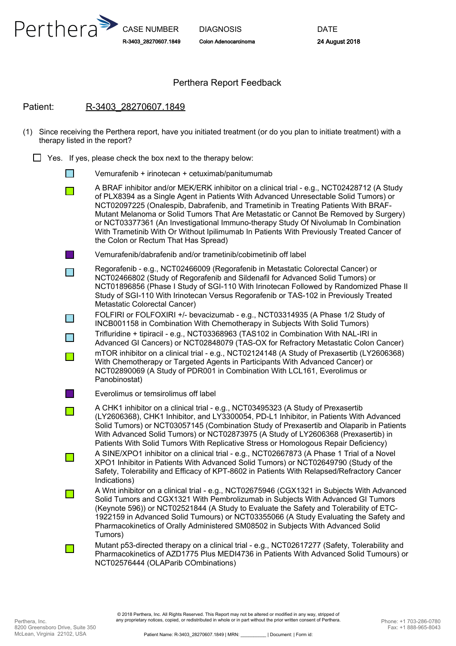

CASE NUMBER R-3403\_28270607.1849

DIAGNOSIS Colon Adenocarcinoma

#### Perthera Report Feedback

#### Patient: R-3403\_28270607.1849

- (1) Since receiving the Perthera report, have you initiated treatment (or do you plan to initiate treatment) with a therapy listed in the report?
	- $\Box$  Yes. If yes, please check the box next to the therapy below:
		- Vemurafenib + irinotecan + cetuximab/panitumumab  $\Box$
		- A BRAF inhibitor and/or MEK/ERK inhibitor on a clinical trial e.g., NCT02428712 (A Study **T** of PLX8394 as a Single Agent in Patients With Advanced Unresectable Solid Tumors) or NCT02097225 (Onalespib, Dabrafenib, and Trametinib in Treating Patients With BRAF-Mutant Melanoma or Solid Tumors That Are Metastatic or Cannot Be Removed by Surgery) or NCT03377361 (An Investigational Immuno-therapy Study Of Nivolumab In Combination With Trametinib With Or Without Ipilimumab In Patients With Previously Treated Cancer of the Colon or Rectum That Has Spread)
		- Vemurafenib/dabrafenib and/or trametinib/cobimetinib off label
		- Regorafenib e.g., NCT02466009 (Regorafenib in Metastatic Colorectal Cancer) or  $\Box$ NCT02466802 (Study of Regorafenib and Sildenafil for Advanced Solid Tumors) or NCT01896856 (Phase I Study of SGI-110 With Irinotecan Followed by Randomized Phase II Study of SGI-110 With Irinotecan Versus Regorafenib or TAS-102 in Previously Treated Metastatic Colorectal Cancer)
		- FOLFIRI or FOLFOXIRI +/- bevacizumab e.g., NCT03314935 (A Phase 1/2 Study of  $\Box$ INCB001158 in Combination With Chemotherapy in Subjects With Solid Tumors)
		- Trifluridine + tipiracil e.g., NCT03368963 (TAS102 in Combination With NAL-IRI in  $\Box$ Advanced GI Cancers) or NCT02848079 (TAS-OX for Refractory Metastatic Colon Cancer) mTOR inhibitor on a clinical trial - e.g., NCT02124148 (A Study of Prexasertib (LY2606368)  $\Box$ With Chemotherapy or Targeted Agents in Participants With Advanced Cancer) or
			- NCT02890069 (A Study of PDR001 in Combination With LCL161, Everolimus or Panobinostat)
		- - Everolimus or temsirolimus off label
		- A CHK1 inhibitor on a clinical trial e.g., NCT03495323 (A Study of Prexasertib  $\Box$ (LY2606368), CHK1 Inhibitor, and LY3300054, PD-L1 Inhibitor, in Patients With Advanced Solid Tumors) or NCT03057145 (Combination Study of Prexasertib and Olaparib in Patients With Advanced Solid Tumors) or NCT02873975 (A Study of LY2606368 (Prexasertib) in Patients With Solid Tumors With Replicative Stress or Homologous Repair Deficiency) A SINE/XPO1 inhibitor on a clinical trial - e.g., NCT02667873 (A Phase 1 Trial of a Novel  $\Box$ XPO1 Inhibitor in Patients With Advanced Solid Tumors) or NCT02649790 (Study of the Safety, Tolerability and Efficacy of KPT-8602 in Patients With Relapsed/Refractory Cancer
		- Indications) A Wnt inhibitor on a clinical trial - e.g., NCT02675946 (CGX1321 in Subjects With Advanced  $\overline{\phantom{a}}$ Solid Tumors and CGX1321 With Pembrolizumab in Subjects With Advanced GI Tumors (Keynote 596)) or NCT02521844 (A Study to Evaluate the Safety and Tolerability of ETC-1922159 in Advanced Solid Tumours) or NCT03355066 (A Study Evaluating the Safety and Pharmacokinetics of Orally Administered SM08502 in Subjects With Advanced Solid Tumors)
			- Mutant p53-directed therapy on a clinical trial e.g., NCT02617277 (Safety, Tolerability and Pharmacokinetics of AZD1775 Plus MEDI4736 in Patients With Advanced Solid Tumours) or NCT02576444 (OLAParib COmbinations)

 $\mathcal{L}^{\mathcal{L}}$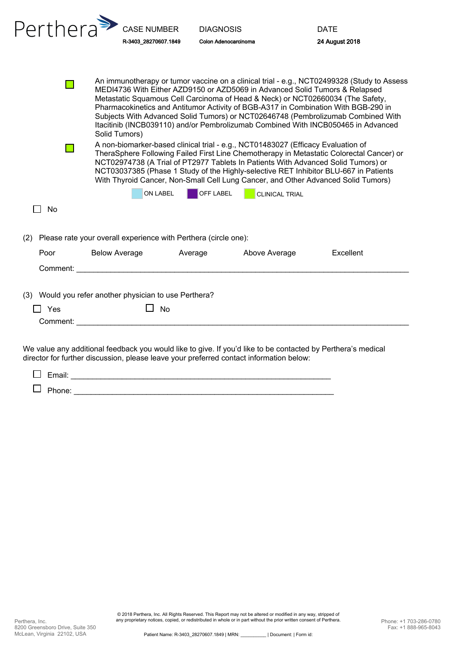| Perthera <sup>\$</sup>                                                                                                                                                                                                                                                                                                                                                                                                                         | <b>CASE NUMBER</b>                                                                                                                                                                                                             | <b>DIAGNOSIS</b>     |                       | <b>DATE</b>                                                                                                                                                                      |  |  |  |
|------------------------------------------------------------------------------------------------------------------------------------------------------------------------------------------------------------------------------------------------------------------------------------------------------------------------------------------------------------------------------------------------------------------------------------------------|--------------------------------------------------------------------------------------------------------------------------------------------------------------------------------------------------------------------------------|----------------------|-----------------------|----------------------------------------------------------------------------------------------------------------------------------------------------------------------------------|--|--|--|
|                                                                                                                                                                                                                                                                                                                                                                                                                                                | R-3403 28270607.1849                                                                                                                                                                                                           | Colon Adenocarcinoma |                       | <b>24 August 2018</b>                                                                                                                                                            |  |  |  |
|                                                                                                                                                                                                                                                                                                                                                                                                                                                | MEDI4736 With Either AZD9150 or AZD5069 in Advanced Solid Tumors & Relapsed<br>Metastatic Squamous Cell Carcinoma of Head & Neck) or NCT02660034 (The Safety,                                                                  |                      |                       | An immunotherapy or tumor vaccine on a clinical trial - e.g., NCT02499328 (Study to Assess<br>Pharmacokinetics and Antitumor Activity of BGB-A317 in Combination With BGB-290 in |  |  |  |
|                                                                                                                                                                                                                                                                                                                                                                                                                                                | Solid Tumors)                                                                                                                                                                                                                  |                      |                       | Subjects With Advanced Solid Tumors) or NCT02646748 (Pembrolizumab Combined With<br>Itacitinib (INCB039110) and/or Pembrolizumab Combined With INCB050465 in Advanced            |  |  |  |
| A non-biomarker-based clinical trial - e.g., NCT01483027 (Efficacy Evaluation of<br>TheraSphere Following Failed First Line Chemotherapy in Metastatic Colorectal Cancer) or<br>NCT02974738 (A Trial of PT2977 Tablets In Patients With Advanced Solid Tumors) or<br>NCT03037385 (Phase 1 Study of the Highly-selective RET Inhibitor BLU-667 in Patients<br>With Thyroid Cancer, Non-Small Cell Lung Cancer, and Other Advanced Solid Tumors) |                                                                                                                                                                                                                                |                      |                       |                                                                                                                                                                                  |  |  |  |
|                                                                                                                                                                                                                                                                                                                                                                                                                                                | ON LABEL                                                                                                                                                                                                                       | <b>OFF LABEL</b>     | <b>CLINICAL TRIAL</b> |                                                                                                                                                                                  |  |  |  |
| <b>No</b>                                                                                                                                                                                                                                                                                                                                                                                                                                      |                                                                                                                                                                                                                                |                      |                       |                                                                                                                                                                                  |  |  |  |
| Please rate your overall experience with Perthera (circle one):<br>(2)                                                                                                                                                                                                                                                                                                                                                                         |                                                                                                                                                                                                                                |                      |                       |                                                                                                                                                                                  |  |  |  |
| Poor                                                                                                                                                                                                                                                                                                                                                                                                                                           | <b>Below Average</b>                                                                                                                                                                                                           | Average              | Above Average         | Excellent                                                                                                                                                                        |  |  |  |
|                                                                                                                                                                                                                                                                                                                                                                                                                                                | Comment: Executive Comments and the comments of the comments of the comments of the comments of the comments of the comments of the comments of the comments of the comments of the comments of the comments of the comments o |                      |                       |                                                                                                                                                                                  |  |  |  |
|                                                                                                                                                                                                                                                                                                                                                                                                                                                |                                                                                                                                                                                                                                |                      |                       |                                                                                                                                                                                  |  |  |  |
|                                                                                                                                                                                                                                                                                                                                                                                                                                                | (3) Would you refer another physician to use Perthera?                                                                                                                                                                         |                      |                       |                                                                                                                                                                                  |  |  |  |
| $\square$ Yes                                                                                                                                                                                                                                                                                                                                                                                                                                  | <b>No</b>                                                                                                                                                                                                                      |                      |                       |                                                                                                                                                                                  |  |  |  |
| Comment:                                                                                                                                                                                                                                                                                                                                                                                                                                       |                                                                                                                                                                                                                                |                      |                       |                                                                                                                                                                                  |  |  |  |
|                                                                                                                                                                                                                                                                                                                                                                                                                                                |                                                                                                                                                                                                                                |                      |                       |                                                                                                                                                                                  |  |  |  |

We value any additional feedback you would like to give. If you'd like to be contacted by Perthera's medical director for further discussion, please leave your preferred contact information below:

|               | <b>Fmail</b><br>сшан. |  |
|---------------|-----------------------|--|
| $\mathcal{L}$ | Phone:                |  |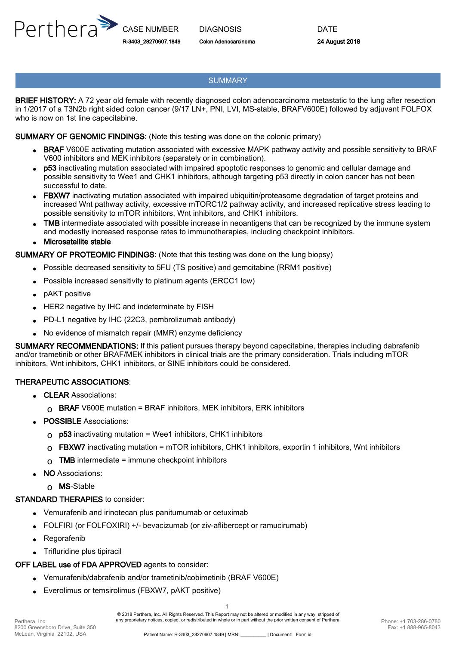

#### **SUMMARY**

BRIEF HISTORY: A 72 year old female with recently diagnosed colon adenocarcinoma metastatic to the lung after resection in 1/2017 of a T3N2b right sided colon cancer (9/17 LN+, PNI, LVI, MS-stable, BRAFV600E) followed by adjuvant FOLFOX who is now on 1st line capecitabine.

#### SUMMARY OF GENOMIC FINDINGS: (Note this testing was done on the colonic primary)

- BRAF V600E activating mutation associated with excessive MAPK pathway activity and possible sensitivity to BRAF V600 inhibitors and MEK inhibitors (separately or in combination).
- p53 inactivating mutation associated with impaired apoptotic responses to genomic and cellular damage and possible sensitivity to Wee1 and CHK1 inhibitors, although targeting p53 directly in colon cancer has not been successful to date. •
- FBXW7 inactivating mutation associated with impaired ubiquitin/proteasome degradation of target proteins and increased Wnt pathway activity, excessive mTORC1/2 pathway activity, and increased replicative stress leading to possible sensitivity to mTOR inhibitors, Wnt inhibitors, and CHK1 inhibitors. •
- TMB intermediate associated with possible increase in neoantigens that can be recognized by the immune system and modestly increased response rates to immunotherapies, including checkpoint inhibitors. •
- Microsatellite stable •

#### SUMMARY OF PROTEOMIC FINDINGS: (Note that this testing was done on the lung biopsy)

- Possible decreased sensitivity to 5FU (TS positive) and gemcitabine (RRM1 positive) •
- Possible increased sensitivity to platinum agents (ERCC1 low) •
- **pAKT** positive
- HER2 negative by IHC and indeterminate by FISH
- PD-L1 negative by IHC (22C3, pembrolizumab antibody)
- No evidence of mismatch repair (MMR) enzyme deficiency

SUMMARY RECOMMENDATIONS: If this patient pursues therapy beyond capecitabine, therapies including dabrafenib and/or trametinib or other BRAF/MEK inhibitors in clinical trials are the primary consideration. Trials including mTOR inhibitors, Wnt inhibitors, CHK1 inhibitors, or SINE inhibitors could be considered.

#### THERAPEUTIC ASSOCIATIONS:

- CLEAR Associations:
	- $\Omega$  BRAF V600E mutation = BRAF inhibitors, MEK inhibitors, ERK inhibitors
- **POSSIBLE** Associations:
	- $\Omega$  p53 inactivating mutation = Wee1 inhibitors, CHK1 inhibitors
	- $\Omega$  FBXW7 inactivating mutation = mTOR inhibitors, CHK1 inhibitors, exportin 1 inhibitors, Wnt inhibitors
	- $\Omega$  TMB intermediate = immune checkpoint inhibitors
- NO Associations:
	- o MS-Stable

#### STANDARD THERAPIES to consider:

- Vemurafenib and irinotecan plus panitumumab or cetuximab •
- FOLFIRI (or FOLFOXIRI) +/- bevacizumab (or ziv-aflibercept or ramucirumab)
- Regorafenib
- Trifluridine plus tipiracil

### OFF LABEL use of FDA APPROVED agents to consider:

- Vemurafenib/dabrafenib and/or trametinib/cobimetinib (BRAF V600E) •
- Everolimus or temsirolimus (FBXW7, pAKT positive) •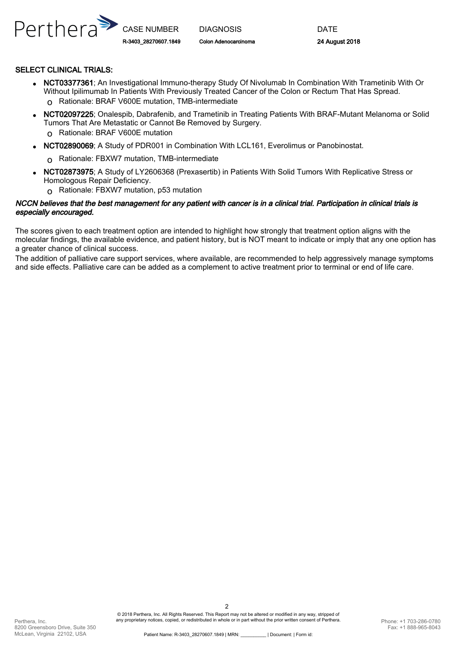

#### SELECT CLINICAL TRIALS:

- NCT03377361; An Investigational Immuno-therapy Study Of Nivolumab In Combination With Trametinib With Or Without Ipilimumab In Patients With Previously Treated Cancer of the Colon or Rectum That Has Spread. o Rationale: BRAF V600E mutation, TMB-intermediate
- NCT02097225; Onalespib, Dabrafenib, and Trametinib in Treating Patients With BRAF-Mutant Melanoma or Solid Tumors That Are Metastatic or Cannot Be Removed by Surgery. • o Rationale: BRAF V600E mutation
- NCT02890069; A Study of PDR001 in Combination With LCL161, Everolimus or Panobinostat.

o Rationale: FBXW7 mutation, TMB-intermediate

- NCT02873975; A Study of LY2606368 (Prexasertib) in Patients With Solid Tumors With Replicative Stress or Homologous Repair Deficiency. •
	- o Rationale: FBXW7 mutation, p53 mutation

#### NCCN believes that the best management for any patient with cancer is in a clinical trial. Participation in clinical trials is especially encouraged.

The scores given to each treatment option are intended to highlight how strongly that treatment option aligns with the molecular findings, the available evidence, and patient history, but is NOT meant to indicate or imply that any one option has a greater chance of clinical success.

The addition of palliative care support services, where available, are recommended to help aggressively manage symptoms and side effects. Palliative care can be added as a complement to active treatment prior to terminal or end of life care.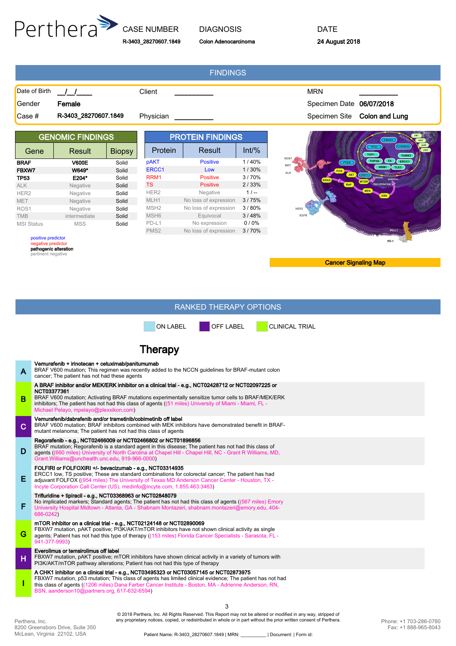

# R-3403\_28270607.1849

#### DIAGNOSIS Colon Adenocarcinoma

DATE 24 August 2018

|                                                                                         |               |                         |                  | <b>FINDINGS</b>       |                                 |                                                                           |
|-----------------------------------------------------------------------------------------|---------------|-------------------------|------------------|-----------------------|---------------------------------|---------------------------------------------------------------------------|
| Date of Birth                                                                           | $\frac{1}{2}$ |                         | Client           |                       |                                 | <b>MRN</b>                                                                |
| Gender                                                                                  | Female        |                         |                  |                       |                                 | Specimen Date 06/07/2018                                                  |
| R-3403_28270607.1849<br>Case #                                                          |               | Physician               |                  |                       | Specimen Site<br>Colon and Lung |                                                                           |
| <b>GENOMIC FINDINGS</b>                                                                 |               | <b>PROTEIN FINDINGS</b> |                  |                       | SMAD4                           |                                                                           |
| Gene                                                                                    | Result        | <b>Biopsy</b>           | Protein          | Result                | $Int\%$                         | CDKN2A<br><b>TP53</b><br>TOP1<br>TUBB3                                    |
| <b>BRAF</b>                                                                             | <b>V600E</b>  | Solid                   | <b>pAKT</b>      | <b>Positive</b>       | 1/40%                           | ROS1<br>TOP <sub>2</sub> A<br>TS.<br>ERCC1<br><b>PTEN</b>                 |
| FBXW7                                                                                   | W649*         | Solid                   | ERCC1            | Low                   | 1/30%                           | MET<br>RRM1<br>TLE3<br>ALK                                                |
| <b>TP53</b>                                                                             | E204*         | Solid                   | RRM1             | <b>Positive</b>       | 3/70%                           | <b>AND AN ANTIQUES</b><br><b>TRANSCH</b><br>AKT<br>STK11                  |
| <b>ALK</b>                                                                              | Negative      | Solid                   | <b>TS</b>        | <b>Positive</b>       | 2/33%                           | <b>MTOR</b><br><b>PROLIFERATION</b><br><b>RAF</b>                         |
| HER <sub>2</sub>                                                                        | Negative      | Solid                   | HER <sub>2</sub> | Negative              | $1/-$                           | <b>MEK</b><br><b>ERK</b>                                                  |
| <b>MET</b>                                                                              | Negative      | Solid                   | MLH1             | No loss of expression | 3/75%                           |                                                                           |
| ROS <sub>1</sub>                                                                        | Negative      | Solid                   | MSH <sub>2</sub> | No loss of expression | 3/80%                           | HER2                                                                      |
| <b>TMB</b>                                                                              | intermediate  | Solid                   | MSH <sub>6</sub> | Equivocal             | 3/48%                           | EGFR                                                                      |
| <b>MSI Status</b>                                                                       | <b>MSS</b>    | Solid                   | PD-L1            | No expression         | 0/0%                            |                                                                           |
|                                                                                         |               |                         | PMS <sub>2</sub> | No loss of expression | 3/70%                           | <b>WILLIAM CHILLIA</b>                                                    |
| positive predictor<br>negative predictor<br>pathogenic alteration<br>pertinent negative |               |                         |                  |                       |                                 | <b>FOR SHARE POST OF THE REAL POST OF THE REAL PROPERTY AND REAL POST</b> |
|                                                                                         |               |                         |                  |                       |                                 | <b>Cancer Signaling Map</b>                                               |

#### RANKED THERAPY OPTIONS

ON LABEL **OFF LABEL** CLINICAL TRIAL

## **Therapy**

| A           | Vemurafenib + irinotecan + cetuximab/panitumumab<br>BRAF V600 mutation; This regimen was recently added to the NCCN quidelines for BRAF-mutant colon<br>cancer; The patient has not had these agents                                                                                                                                                                         |
|-------------|------------------------------------------------------------------------------------------------------------------------------------------------------------------------------------------------------------------------------------------------------------------------------------------------------------------------------------------------------------------------------|
| B           | A BRAF inhibitor and/or MEK/ERK inhibitor on a clinical trial - e.g., NCT02428712 or NCT02097225 or<br>NCT03377361<br>BRAF V600 mutation; Activating BRAF mutations experimentally sensitize tumor cells to BRAF/MEK/ERK<br>inhibitors; The patient has not had this class of agents ((51 miles) University of Miami - Miami, FL -<br>Michael Pelayo, mpelayo@plexxikon.com) |
| $\mathbf C$ | Vemurafenib/dabrafenib and/or trametinib/cobimetinib off label<br>BRAF V600 mutation; BRAF inhibitors combined with MEK inhibitors have demonstrated benefit in BRAF-<br>mutant melanoma; The patient has not had this class of agents                                                                                                                                       |
| D           | Regorafenib - e.g., NCT02466009 or NCT02466802 or NCT01896856<br>BRAF mutation; Regorafenib is a standard agent in this disease; The patient has not had this class of<br>agents ((660 miles) University of North Carolina at Chapel Hill - Chapel Hill, NC - Grant R Williams, MD,<br>Grant.Williams@unchealth.unc.edu, 919-966-0000)                                       |
| Ε           | FOLFIRI or FOLFOXIRI +/- bevacizumab - e.g., NCT03314935<br>ERCC1 low, TS positive; These are standard combinations for colorectal cancer; The patient has had<br>adjuvant FOLFOX ((954 miles) The University of Texas MD Anderson Cancer Center - Houston, TX -<br>Incyte Corporation Call Center (US), medinfo@incyte.com, 1.855.463.3463)                                 |
| F           | Trifluridine + tipiracil - e.g., NCT03368963 or NCT02848079<br>No implicated markers; Standard agents; The patient has not had this class of agents ((567 miles) Emory<br>University Hospital Midtown - Atlanta, GA - Shabnam Montazeri, shabnam.montazeri@emory.edu, 404-<br>686-0242)                                                                                      |
| G           | mTOR inhibitor on a clinical trial - e.g., NCT02124148 or NCT02890069<br>FBXW7 mutation, pAKT positive; PI3K/AKT/mTOR inhibitors have not shown clinical activity as single<br>agents; Patient has not had this type of therapy ((153 miles) Florida Cancer Specialists - Sarasota, FL -<br>941-377-9993)                                                                    |
| н           | Everolimus or temsirolimus off label<br>FBXW7 mutation, pAKT positive; mTOR inhibitors have shown clinical activity in a variety of tumors with<br>PI3K/AKT/mTOR pathway alterations; Patient has not had this type of therapy                                                                                                                                               |
|             | A CHK1 inhibitor on a clinical trial - e.g., NCT03495323 or NCT03057145 or NCT02873975<br>FBXW7 mutation, p53 mutation; This class of agents has limited clinical evidence; The patient has not had<br>this class of agents ((1206 miles) Dana Farber Cancer Institute - Boston, MA - Adrienne Anderson, RN,<br>BSN, aanderson10@partners.org, 617-632-6594)                 |
|             | C.                                                                                                                                                                                                                                                                                                                                                                           |

© 2018 Perthera, Inc. All Rights Reserved. This Report may not be altered or modified in any way, stripped of<br>any proprietary notices, copied, or redistributed in whole or in part without the prior written consent of Perth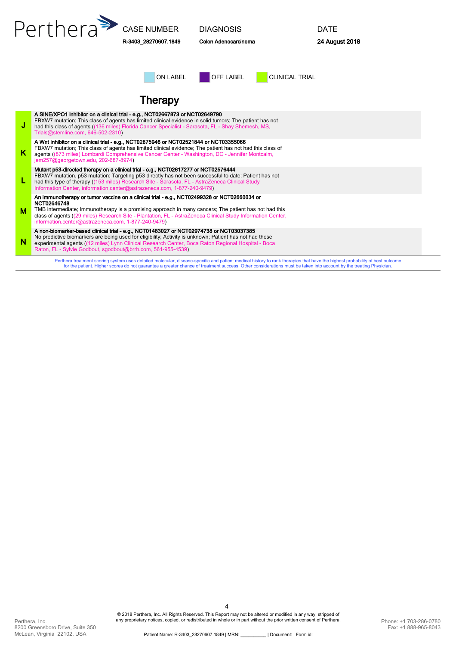|   | Perthera                                                                                                                                                                                                                                                                                                                                                                                  | <b>CASE NUMBER</b><br>R-3403 28270607.1849 | <b>DIAGNOSIS</b><br>Colon Adenocarcinoma |                       | <b>DATE</b><br>24 August 2018 |  |  |  |
|---|-------------------------------------------------------------------------------------------------------------------------------------------------------------------------------------------------------------------------------------------------------------------------------------------------------------------------------------------------------------------------------------------|--------------------------------------------|------------------------------------------|-----------------------|-------------------------------|--|--|--|
|   |                                                                                                                                                                                                                                                                                                                                                                                           | ON LABEL                                   | OFF LABEL                                | <b>CLINICAL TRIAL</b> |                               |  |  |  |
|   | <b>Therapy</b>                                                                                                                                                                                                                                                                                                                                                                            |                                            |                                          |                       |                               |  |  |  |
| J | A SINE/XPO1 inhibitor on a clinical trial - e.g., NCT02667873 or NCT02649790<br>FBXW7 mutation; This class of agents has limited clinical evidence in solid tumors; The patient has not<br>had this class of agents ((136 miles) Florida Cancer Specialist - Sarasota, FL - Shay Shemesh, MS,<br>Trials@stemline.com, 646-502-2310)                                                       |                                            |                                          |                       |                               |  |  |  |
| K | A Wnt inhibitor on a clinical trial - e.g., NCT02675946 or NCT02521844 or NCT03355066<br>FBXW7 mutation; This class of agents has limited clinical evidence; The patient has not had this class of<br>agents ((873 miles) Lombardi Comprehensive Cancer Center - Washington, DC - Jennifer Montcalm,<br>jem257@georgetown.edu, 202-687-8974)                                              |                                            |                                          |                       |                               |  |  |  |
| L | Mutant p53-directed therapy on a clinical trial - e.g., NCT02617277 or NCT02576444<br>FBXW7 mutation, p53 mutation; Targeting p53 directly has not been successful to date; Patient has not<br>had this type of therapy ((153 miles) Research Site - Sarasota, FL - AstraZeneca Clinical Study<br>Information Center, information.center@astrazeneca.com, 1-877-240-9479)                 |                                            |                                          |                       |                               |  |  |  |
| М | An immunotherapy or tumor vaccine on a clinical trial - e.g., NCT02499328 or NCT02660034 or<br>NCT02646748<br>TMB intermediate; Immunotherapy is a promising approach in many cancers; The patient has not had this<br>class of agents ((29 miles) Research Site - Plantation, FL - AstraZeneca Clinical Study Information Center,<br>information.center@astrazeneca.com, 1-877-240-9479) |                                            |                                          |                       |                               |  |  |  |
| N | A non-biomarker-based clinical trial - e.g., NCT01483027 or NCT02974738 or NCT03037385<br>No predictive biomarkers are being used for eligibility; Activity is unknown; Patient has not had these<br>experimental agents ((12 miles) Lynn Clinical Research Center, Boca Raton Regional Hospital - Boca<br>Raton, FL - Sylvie Godbout, sgodbout@brrh.com, 561-955-4539)                   |                                            |                                          |                       |                               |  |  |  |
|   | Perthera treatment scoring system uses detailed molecular, disease-specific and patient medical history to rank therapies that have the highest probability of best outcome<br>for the patient. Higher scores do not guarantee a greater chance of treatment success. Other considerations must be taken into account by the treating Physician.                                          |                                            |                                          |                       |                               |  |  |  |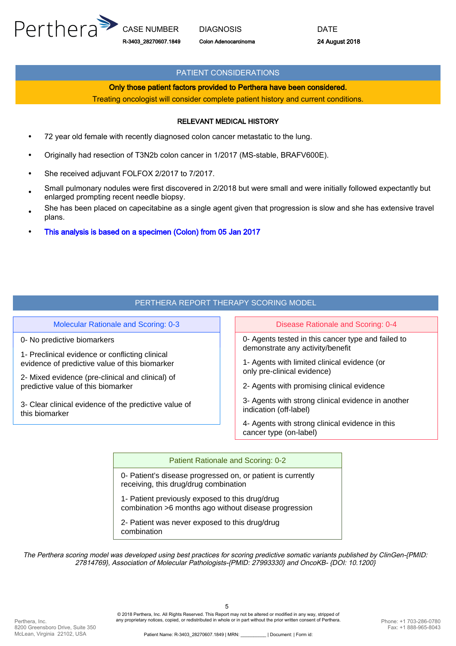

#### PATIENT CONSIDERATIONS

#### Only those patient factors provided to Perthera have been considered.

Treating oncologist will consider complete patient history and current conditions.

#### RELEVANT MEDICAL HISTORY

- 72 year old female with recently diagnosed colon cancer metastatic to the lung.
- Originally had resection of T3N2b colon cancer in 1/2017 (MS-stable, BRAFV600E).
- She received adjuvant FOLFOX 2/2017 to 7/2017.
- Small pulmonary nodules were first discovered in 2/2018 but were small and were initially followed expectantly but enlarged prompting recent needle biopsy.
- She has been placed on capecitabine as a single agent given that progression is slow and she has extensive travel plans.
- This analysis is based on a specimen (Colon) from 05 Jan 2017

#### PERTHERA REPORT THERAPY SCORING MODEL

Molecular Rationale and Scoring: 0-3 Disease Rationale and Scoring: 0-4

0- No predictive biomarkers

1- Preclinical evidence or conflicting clinical evidence of predictive value of this biomarker

2- Mixed evidence (pre-clinical and clinical) of predictive value of this biomarker

3- Clear clinical evidence of the predictive value of this biomarker

0- Agents tested in this cancer type and failed to demonstrate any activity/benefit

1- Agents with limited clinical evidence (or only pre-clinical evidence)

2- Agents with promising clinical evidence

3- Agents with strong clinical evidence in another indication (off-label)

4- Agents with strong clinical evidence in this cancer type (on-label)

#### Patient Rationale and Scoring: 0-2

0- Patient's disease progressed on, or patient is currently receiving, this drug/drug combination

1- Patient previously exposed to this drug/drug combination >6 months ago without disease progression

2- Patient was never exposed to this drug/drug combination

The Perthera scoring model was developed using best practices for scoring predictive somatic variants published by ClinGen-{PMID: 27814769}, Association of Molecular Pathologists-{PMID: 27993330} and OncoKB- {DOI: 10.1200}

© 2018 Perthera, Inc. All Rights Reserved. This Report may not be altered or modified in any way, stripped of any proprietary notices, copied, or redistributed in whole or in part without the prior written consent of Perthera.